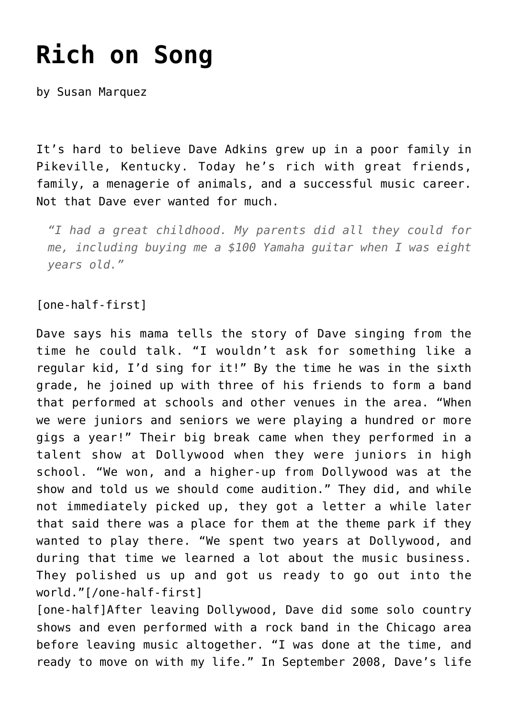## **[Rich on Song](https://thebluegrassstandard.com/rich-on-song/)**

by Susan Marquez

It's hard to believe Dave Adkins grew up in a poor family in Pikeville, Kentucky. Today he's rich with great friends, family, a menagerie of animals, and a successful music career. Not that Dave ever wanted for much.

*"I had a great childhood. My parents did all they could for me, including buying me a \$100 Yamaha guitar when I was eight years old."*

[one-half-first]

Dave says his mama tells the story of Dave singing from the time he could talk. "I wouldn't ask for something like a regular kid, I'd sing for it!" By the time he was in the sixth grade, he joined up with three of his friends to form a band that performed at schools and other venues in the area. "When we were juniors and seniors we were playing a hundred or more gigs a year!" Their big break came when they performed in a talent show at Dollywood when they were juniors in high school. "We won, and a higher-up from Dollywood was at the show and told us we should come audition." They did, and while not immediately picked up, they got a letter a while later that said there was a place for them at the theme park if they wanted to play there. "We spent two years at Dollywood, and during that time we learned a lot about the music business. They polished us up and got us ready to go out into the world."[/one-half-first]

[one-half]After leaving Dollywood, Dave did some solo country shows and even performed with a rock band in the Chicago area before leaving music altogether. "I was done at the time, and ready to move on with my life." In September 2008, Dave's life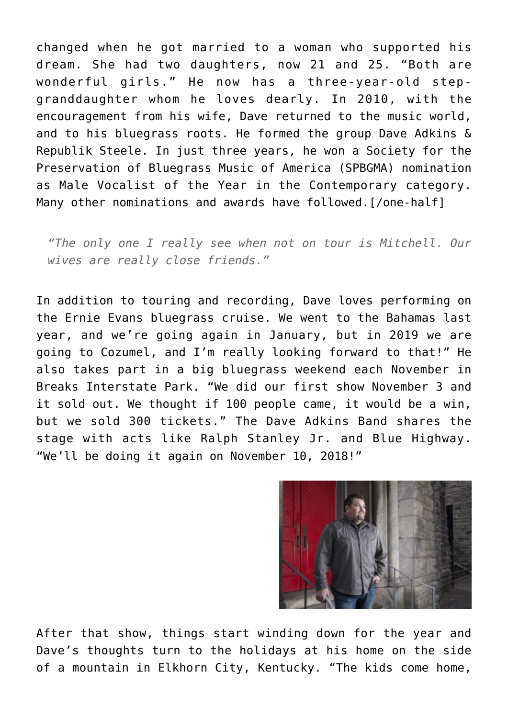changed when he got married to a woman who supported his dream. She had two daughters, now 21 and 25. "Both are wonderful girls." He now has a three-year-old stepgranddaughter whom he loves dearly. In 2010, with the encouragement from his wife, Dave returned to the music world, and to his bluegrass roots. He formed the group Dave Adkins & Republik Steele. In just three years, he won a Society for the Preservation of Bluegrass Music of America (SPBGMA) nomination as Male Vocalist of the Year in the Contemporary category. Many other nominations and awards have followed.[/one-half]

*"The only one I really see when not on tour is Mitchell. Our wives are really close friends."*

In addition to touring and recording, Dave loves performing on the Ernie Evans bluegrass cruise. We went to the Bahamas last year, and we're going again in January, but in 2019 we are going to Cozumel, and I'm really looking forward to that!" He also takes part in a big bluegrass weekend each November in Breaks Interstate Park. "We did our first show November 3 and it sold out. We thought if 100 people came, it would be a win, but we sold 300 tickets." The Dave Adkins Band shares the stage with acts like Ralph Stanley Jr. and Blue Highway. "We'll be doing it again on November 10, 2018!"



After that show, things start winding down for the year and Dave's thoughts turn to the holidays at his home on the side of a mountain in Elkhorn City, Kentucky. "The kids come home,